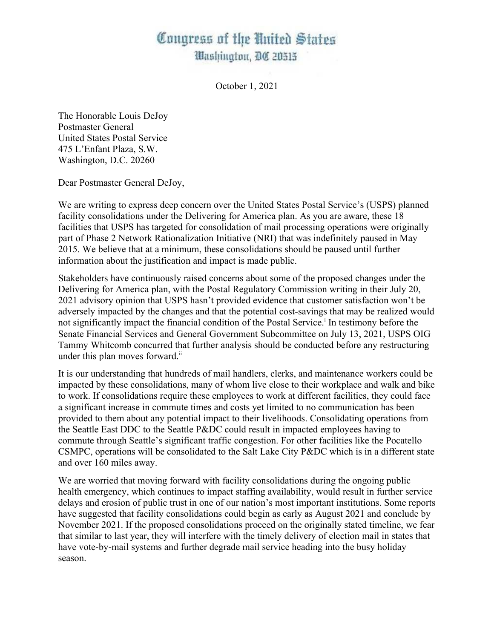## Congress of the United States Mashington, DC 20515

October 1, 2021

The Honorable Louis DeJoy Postmaster General United States Postal Service 475 L'Enfant Plaza, S.W. Washington, D.C. 20260

Dear Postmaster General DeJoy,

We are writing to express deep concern over the United States Postal Service's (USPS) planned facility consolidations under the Delivering for America plan. As you are aware, these 18 facilities that USPS has targeted for consolidation of mail processing operations were originally part of Phase 2 Network Rationalization Initiative (NRI) that was indefinitely paused in May 2015. We believe that at a minimum, these consolidations should be paused until further information about the justification and impact is made public.

Stakeholders have continuously raised concerns about some of the proposed changes under the Delivering for America plan, with the Postal Regulatory Commission writing in their July 20, 2021 advisory opinion that USPS hasn't provided evidence that customer satisfaction won't be adversely impacted by the changes and that the potential cost-savings that may be realized would not significantly impact the financial condition of the Postal Service.<sup>1</sup> In testimony before the Senate Financial Services and General Government Subcommittee on July 13, 2021, USPS OIG Tammy Whitcomb concurred that further analysis should be conducted before any restructuring under this plan moves forward.<sup>ii</sup>

It is our understanding that hundreds of mail handlers, clerks, and maintenance workers could be impacted by these consolidations, many of whom live close to their workplace and walk and bike to work. If consolidations require these employees to work at different facilities, they could face a significant increase in commute times and costs yet limited to no communication has been provided to them about any potential impact to their livelihoods. Consolidating operations from the Seattle East DDC to the Seattle P&DC could result in impacted employees having to commute through Seattle's significant traffic congestion. For other facilities like the Pocatello CSMPC, operations will be consolidated to the Salt Lake City P&DC which is in a different state and over 160 miles away.

We are worried that moving forward with facility consolidations during the ongoing public health emergency, which continues to impact staffing availability, would result in further service delays and erosion of public trust in one of our nation's most important institutions. Some reports have suggested that facility consolidations could begin as early as August 2021 and conclude by November 2021. If the proposed consolidations proceed on the originally stated timeline, we fear that similar to last year, they will interfere with the timely delivery of election mail in states that have vote-by-mail systems and further degrade mail service heading into the busy holiday season.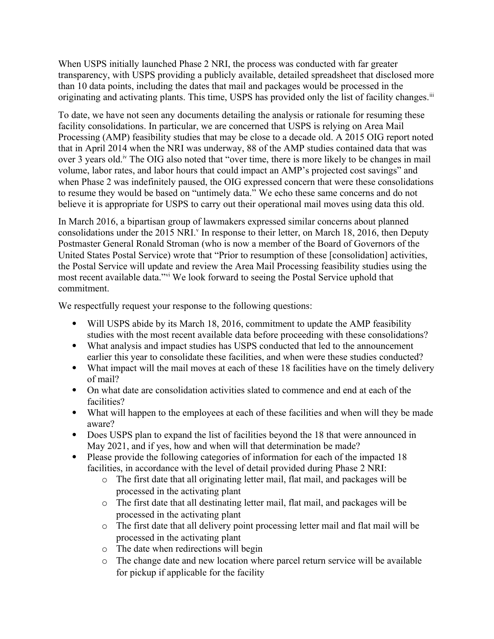When USPS initially launched Phase 2 NRI, the process was conducted with far greater transparency, with USPS providing a publicly available, detailed spreadsheet that disclosed more than 10 data points, including the dates that mail and packages would be processed in the originating and activating plants. This time, USPS has provided only the list of facility changes.<sup>iii</sup>

To date, we have not seen any documents detailing the analysis or rationale for resuming these facility consolidations. In particular, we are concerned that USPS is relying on Area Mail Processing (AMP) feasibility studies that may be close to a decade old. A 2015 OIG report noted that in April 2014 when the NRI was underway, 88 of the AMP studies contained data that was over 3 years old.<sup>iv</sup> The OIG also noted that "over time, there is more likely to be changes in mail volume, labor rates, and labor hours that could impact an AMP's projected cost savings" and when Phase 2 was indefinitely paused, the OIG expressed concern that were these consolidations to resume they would be based on "untimely data." We echo these same concerns and do not believe it is appropriate for USPS to carry out their operational mail moves using data this old.

In March 2016, a bipartisan group of lawmakers expressed similar concerns about planned consolidations under the 2015 NRI.<sup>v</sup> In response to their letter, on March 18, 2016, then Deputy Postmaster General Ronald Stroman (who is now a member of the Board of Governors of the United States Postal Service) wrote that "Prior to resumption of these [consolidation] activities, the Postal Service will update and review the Area Mail Processing feasibility studies using the most recent available data."vi We look forward to seeing the Postal Service uphold that commitment.

We respectfully request your response to the following questions:

- Will USPS abide by its March 18, 2016, commitment to update the AMP feasibility studies with the most recent available data before proceeding with these consolidations?
- What analysis and impact studies has USPS conducted that led to the announcement earlier this year to consolidate these facilities, and when were these studies conducted?
- What impact will the mail moves at each of these 18 facilities have on the timely delivery of mail?
- On what date are consolidation activities slated to commence and end at each of the facilities?
- What will happen to the employees at each of these facilities and when will they be made aware?
- Does USPS plan to expand the list of facilities beyond the 18 that were announced in May 2021, and if yes, how and when will that determination be made?
- Please provide the following categories of information for each of the impacted 18 facilities, in accordance with the level of detail provided during Phase 2 NRI:
	- o The first date that all originating letter mail, flat mail, and packages will be processed in the activating plant
	- o The first date that all destinating letter mail, flat mail, and packages will be processed in the activating plant
	- o The first date that all delivery point processing letter mail and flat mail will be processed in the activating plant
	- o The date when redirections will begin
	- o The change date and new location where parcel return service will be available for pickup if applicable for the facility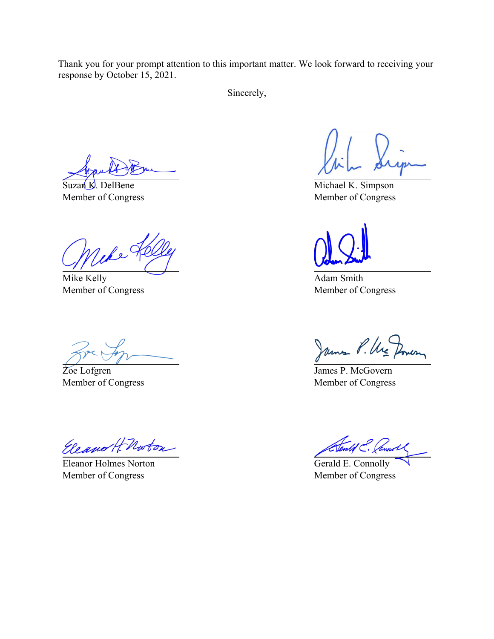Thank you for your prompt attention to this important matter. We look forward to receiving your response by October 15, 2021.

Sincerely,

Suzan K. DelBene Member of Congress

Wer

Mike Kelly Member of Congress

Zoe Lofgren Member of Congress

Eleanor H Norton

Eleanor Holmes Norton Member of Congress

Michael K. Simpson Member of Congress

Adam Smith Member of Congress

James P. Ure

James P. McGovern Member of Congress

Gerald E. Connolly Member of Congress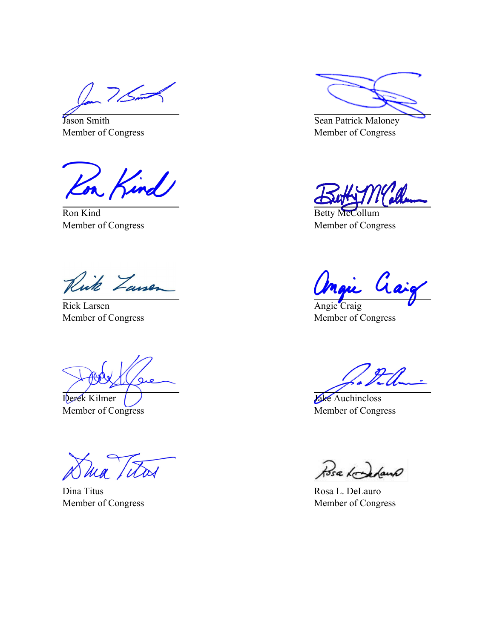$125$ 

Jason Smith Member of Congress

Kon Kind

Ron Kind Member of Congress

Rick Zausen

Rick Larsen Member of Congress

Derek Kilmer Member of Congress

Dina Titus Member of Congress

Sean Patrick Maloney Member of Congress

Betty McCollum Member of Congress

Gaig

Angie Craig Member of Congress

Jake Auchincloss Member of Congress

Posa Kondens

Rosa L. DeLauro Member of Congress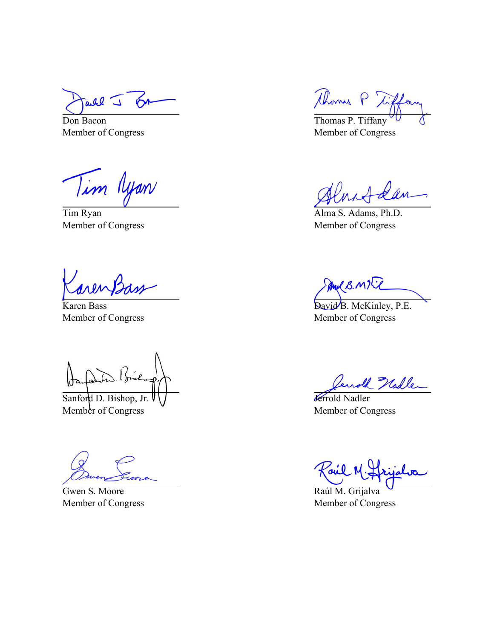all I ЮA

Don Bacon Member of Congress

Tim Nyan

Tim Ryan Member of Congress

Karen Bass Member of Congress

Sanford D. Bishop, Jr. Member of Congress

Gwen S. Moore Member of Congress

Thomas P Tix

Thomas P. Tiffany Member of Congress

Alma S. Adams, Ph.D. Member of Congress

Mul B. MIT

David B. McKinley, P.E. Member of Congress

U Nadler

**J**errold Nadler Member of Congress

Raúl M. Grijalva Member of Congress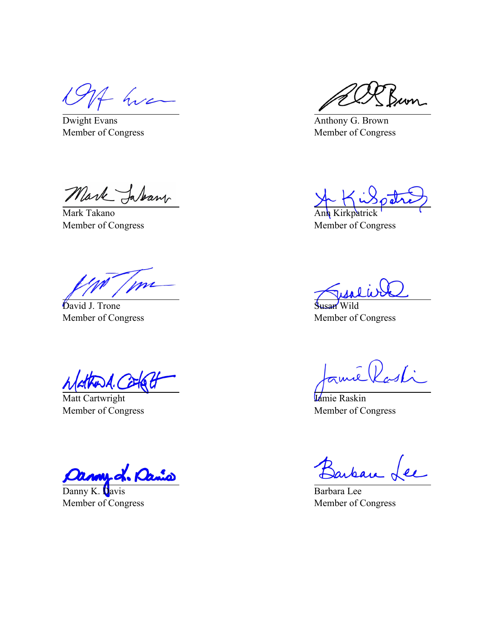f hva

Dwight Evans Member of Congress

Mark Jakan

Mark Takano Member of Congress

mi

David J. Trone Member of Congress

Matt Cartwright Member of Congress

ud. Or

Danny K. Davis Member of Congress

um\_

Anthony G. Brown Member of Congress

Ann Kirkpatrick Member of Congress

Wild Member of Congress

 $d\vec{\lambda}$  .

Jamie Raskin Member of Congress

arban

Barbara Lee Member of Congress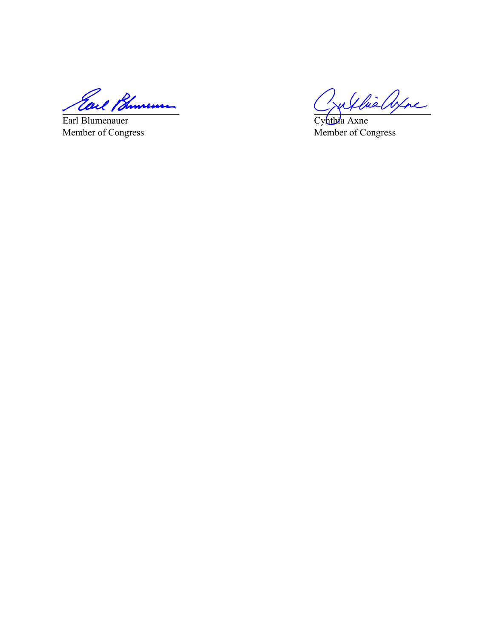Earl Bhuneum

Earl Blumenauer Member of Congress

Jullie alpha

Cynthia Axne Member of Congress